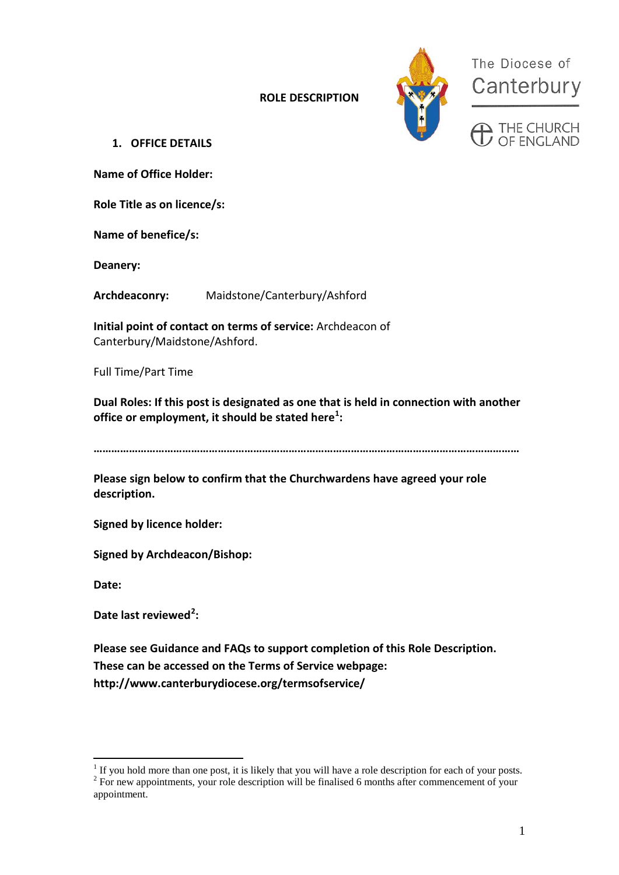**ROLE DESCRIPTION** 



The Diocese of Canterbury

 $\sum$  THE CHURCH<br> $\overline{L}$  OF FNGI AND

**1. OFFICE DETAILS**

**Name of Office Holder:**

**Role Title as on licence/s:**

**Name of benefice/s:**

**Deanery:**

**Archdeaconry:** Maidstone/Canterbury/Ashford

**Initial point of contact on terms of service:** Archdeacon of Canterbury/Maidstone/Ashford.

Full Time/Part Time

**Dual Roles: If this post is designated as one that is held in connection with another office or employment, it should be stated here[1](#page-0-0) :**

**………………………………………………………………………………………………………………………………**

**Please sign below to confirm that the Churchwardens have agreed your role description.**

**Signed by licence holder:**

**Signed by Archdeacon/Bishop:**

**Date:**

Date last reviewed<sup>[2](#page-0-1)</sup>:

**Please see Guidance and FAQs to support completion of this Role Description. These can be accessed on the Terms of Service webpage: http://www.canterburydiocese.org/termsofservice/**

<span id="page-0-1"></span><span id="page-0-0"></span><sup>&</sup>lt;sup>1</sup> If you hold more than one post, it is likely that you will have a role description for each of your posts. <sup>2</sup> For new appointments, your role description will be finalised 6 months after commencement of your appointment.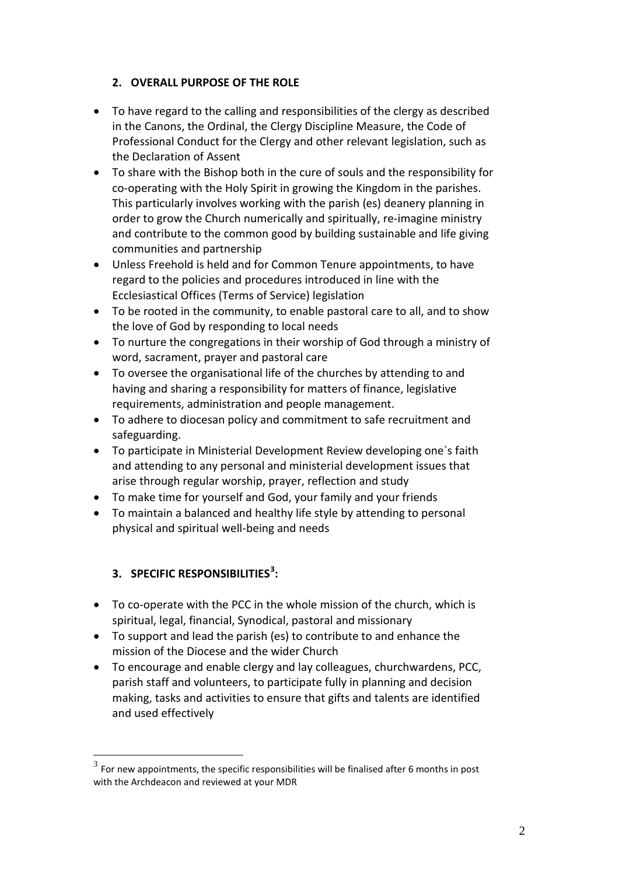# **2. OVERALL PURPOSE OF THE ROLE**

- To have regard to the calling and responsibilities of the clergy as described in the Canons, the Ordinal, the Clergy Discipline Measure, the Code of Professional Conduct for the Clergy and other relevant legislation, such as the Declaration of Assent
- To share with the Bishop both in the cure of souls and the responsibility for co-operating with the Holy Spirit in growing the Kingdom in the parishes. This particularly involves working with the parish (es) deanery planning in order to grow the Church numerically and spiritually, re-imagine ministry and contribute to the common good by building sustainable and life giving communities and partnership
- Unless Freehold is held and for Common Tenure appointments, to have regard to the policies and procedures introduced in line with the Ecclesiastical Offices (Terms of Service) legislation
- To be rooted in the community, to enable pastoral care to all, and to show the love of God by responding to local needs
- To nurture the congregations in their worship of God through a ministry of word, sacrament, prayer and pastoral care
- To oversee the organisational life of the churches by attending to and having and sharing a responsibility for matters of finance, legislative requirements, administration and people management.
- To adhere to diocesan policy and commitment to safe recruitment and safeguarding.
- To participate in Ministerial Development Review developing one`s faith and attending to any personal and ministerial development issues that arise through regular worship, prayer, reflection and study
- To make time for yourself and God, your family and your friends
- To maintain a balanced and healthy life style by attending to personal physical and spiritual well-being and needs

# **3. SPECIFIC RESPONSIBILITIES[3](#page-1-0) :**

- To co-operate with the PCC in the whole mission of the church, which is spiritual, legal, financial, Synodical, pastoral and missionary
- To support and lead the parish (es) to contribute to and enhance the mission of the Diocese and the wider Church
- To encourage and enable clergy and lay colleagues, churchwardens, PCC, parish staff and volunteers, to participate fully in planning and decision making, tasks and activities to ensure that gifts and talents are identified and used effectively

<span id="page-1-0"></span> $3<sup>3</sup>$  For new appointments, the specific responsibilities will be finalised after 6 months in post with the Archdeacon and reviewed at your MDR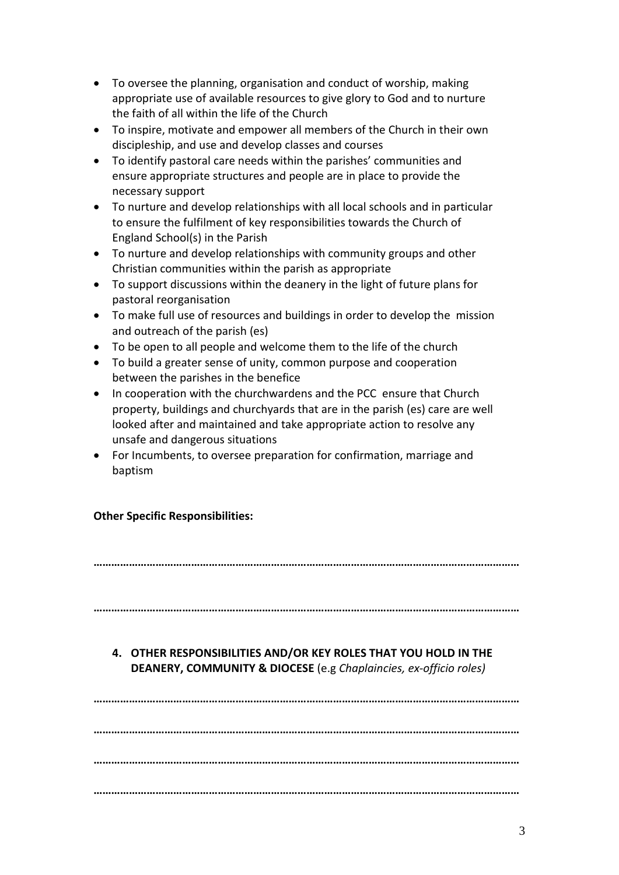- To oversee the planning, organisation and conduct of worship, making appropriate use of available resources to give glory to God and to nurture the faith of all within the life of the Church
- To inspire, motivate and empower all members of the Church in their own discipleship, and use and develop classes and courses
- To identify pastoral care needs within the parishes' communities and ensure appropriate structures and people are in place to provide the necessary support
- To nurture and develop relationships with all local schools and in particular to ensure the fulfilment of key responsibilities towards the Church of England School(s) in the Parish
- To nurture and develop relationships with community groups and other Christian communities within the parish as appropriate
- To support discussions within the deanery in the light of future plans for pastoral reorganisation
- To make full use of resources and buildings in order to develop the mission and outreach of the parish (es)
- To be open to all people and welcome them to the life of the church
- To build a greater sense of unity, common purpose and cooperation between the parishes in the benefice
- In cooperation with the churchwardens and the PCC ensure that Church property, buildings and churchyards that are in the parish (es) care are well looked after and maintained and take appropriate action to resolve any unsafe and dangerous situations
- For Incumbents, to oversee preparation for confirmation, marriage and baptism

# **Other Specific Responsibilities:**

**………………………………………………………………………………………………………………………………**

**………………………………………………………………………………………………………………………………**

# **4. OTHER RESPONSIBILITIES AND/OR KEY ROLES THAT YOU HOLD IN THE DEANERY, COMMUNITY & DIOCESE** (e.g *Chaplaincies, ex-officio roles)*

**……………………………………………………………………………………………………………………………… ……………………………………………………………………………………………………………………………… ……………………………………………………………………………………………………………………………… ………………………………………………………………………………………………………………………………**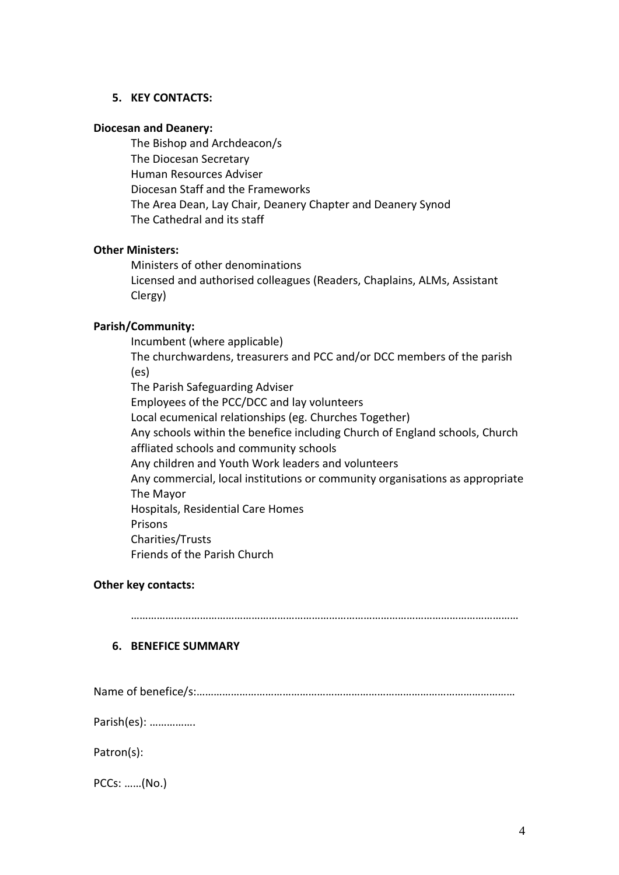## **5. KEY CONTACTS:**

#### **Diocesan and Deanery:**

The Bishop and Archdeacon/s The Diocesan Secretary Human Resources Adviser Diocesan Staff and the Frameworks The Area Dean, Lay Chair, Deanery Chapter and Deanery Synod The Cathedral and its staff

## **Other Ministers:**

Ministers of other denominations Licensed and authorised colleagues (Readers, Chaplains, ALMs, Assistant Clergy)

## **Parish/Community:**

Incumbent (where applicable) The churchwardens, treasurers and PCC and/or DCC members of the parish (es) The Parish Safeguarding Adviser Employees of the PCC/DCC and lay volunteers Local ecumenical relationships (eg. Churches Together) Any schools within the benefice including Church of England schools, Church affliated schools and community schools Any children and Youth Work leaders and volunteers Any commercial, local institutions or community organisations as appropriate The Mayor Hospitals, Residential Care Homes Prisons Charities/Trusts Friends of the Parish Church

## **Other key contacts:**

………………………………………………………………………………………………………………………

## **6. BENEFICE SUMMARY**

Name of benefice/s:…………………………………………………………………………………………………

Parish(es): …………….

Patron(s):

PCCs: ……(No.)